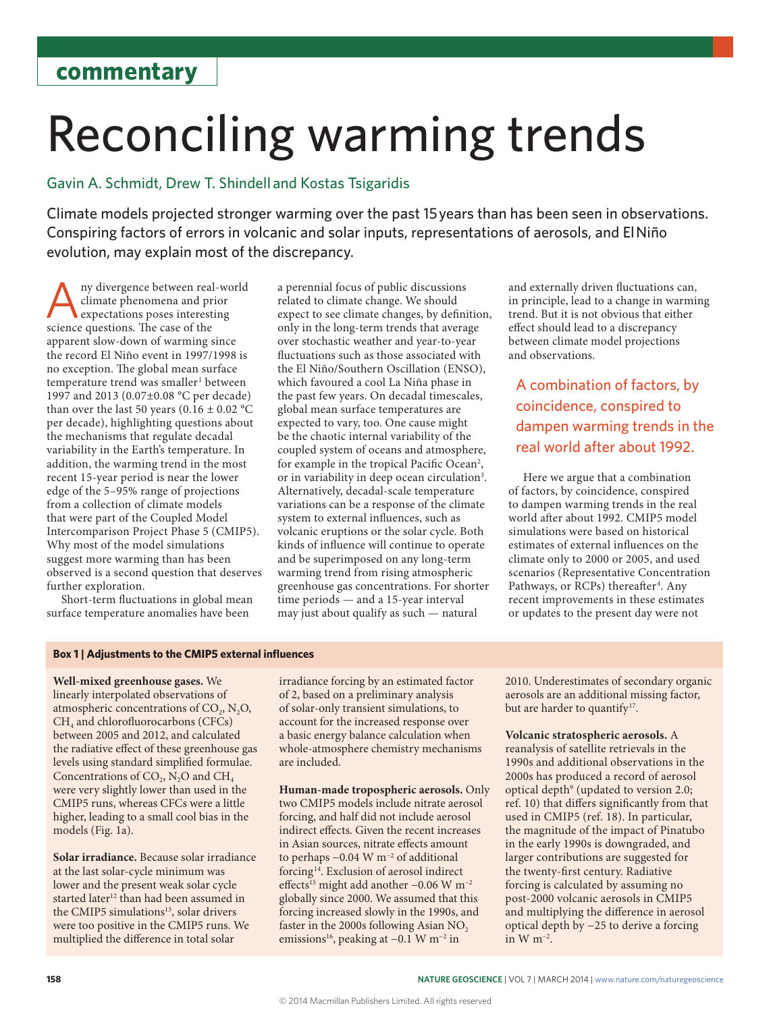## Reconciling warming trends

### Gavin A. Schmidt, Drew T. Shindell and Kostas Tsigaridis

Climate models projected stronger warming over the past 15 years than has been seen in observations. Conspiring factors of errors in volcanic and solar inputs, representations of aerosols, and El Niño evolution, may explain most of the discrepancy.

ny divergence between real-world climate phenomena and prior expectations poses interesting science questions. The case of the apparent slow-down of warming since the record El Niño event in 1997/1998 is no exception. The global mean surface temperature trend was smaller<sup>1</sup> between 1997 and 2013 (0.07±0.08 °C per decade) than over the last 50 years (0.16  $\pm$  0.02 °C per decade), highlighting questions about the mechanisms that regulate decadal variability in the Earth's temperature. In addition, the warming trend in the most recent 15-year period is near the lower edge of the 5–95% range of projections from a collection of climate models that were part of the Coupled Model Intercomparison Project Phase 5 (CMIP5). Why most of the model simulations suggest more warming than has been observed is a second question that deserves further exploration.

Short-term fluctuations in global mean surface temperature anomalies have been

a perennial focus of public discussions related to climate change. We should expect to see climate changes, by definition, only in the long-term trends that average over stochastic weather and year-to-year fluctuations such as those associated with the El Niño/Southern Oscillation (ENSO), which favoured a cool La Niña phase in the past few years. On decadal timescales, global mean surface temperatures are expected to vary, too. One cause might be the chaotic internal variability of the coupled system of oceans and atmosphere, for example in the tropical Pacific Ocean<sup>2</sup>, or in variability in deep ocean circulation<sup>3</sup>. Alternatively, decadal-scale temperature variations can be a response of the climate system to external influences, such as volcanic eruptions or the solar cycle. Both kinds of influence will continue to operate and be superimposed on any long-term warming trend from rising atmospheric greenhouse gas concentrations. For shorter time periods — and a 15-year interval may just about qualify as such — natural

and externally driven fluctuations can, in principle, lead to a change in warming trend. But it is not obvious that either effect should lead to a discrepancy between climate model projections and observations.

A combination of factors, by coincidence, conspired to dampen warming trends in the real world after about 1992.

Here we argue that a combination of factors, by coincidence, conspired to dampen warming trends in the real world after about 1992. CMIP5 model simulations were based on historical estimates of external influences on the climate only to 2000 or 2005, and used scenarios (Representative Concentration Pathways, or RCPs) thereafter<sup>4</sup>. Any recent improvements in these estimates or updates to the present day were not

#### **Box 1 | Adjustments to the CMIP5 external influences**

**Well-mixed greenhouse gases.** We linearly interpolated observations of atmospheric concentrations of  $CO<sub>2</sub>$ , N<sub>2</sub>O, CH<sub>4</sub> and chlorofluorocarbons (CFCs) between 2005 and 2012, and calculated the radiative effect of these greenhouse gas levels using standard simplified formulae. Concentrations of  $CO<sub>2</sub>$ , N<sub>2</sub>O and CH<sub>4</sub> were very slightly lower than used in the CMIP5 runs, whereas CFCs were a little higher, leading to a small cool bias in the models (Fig. 1a).

**Solar irradiance.** Because solar irradiance at the last solar-cycle minimum was lower and the present weak solar cycle started later<sup>12</sup> than had been assumed in the CMIP5 simulations<sup>13</sup>, solar drivers were too positive in the CMIP5 runs. We multiplied the difference in total solar

irradiance forcing by an estimated factor of 2, based on a preliminary analysis of solar-only transient simulations, to account for the increased response over a basic energy balance calculation when whole-atmosphere chemistry mechanisms are included.

**Human-made tropospheric aerosols.** Only two CMIP5 models include nitrate aerosol forcing, and half did not include aerosol indirect effects. Given the recent increases in Asian sources, nitrate effects amount to perhaps −0.04 W m−2 of additional forcing14. Exclusion of aerosol indirect effects<sup>15</sup> might add another −0.06 W m<sup>-2</sup> globally since 2000. We assumed that this forcing increased slowly in the 1990s, and faster in the 2000s following Asian  $NO<sub>2</sub>$ emissions<sup>16</sup>, peaking at −0.1 W m<sup>-2</sup> in

2010. Underestimates of secondary organic aerosols are an additional missing factor, but are harder to quantify<sup>17</sup>.

**Volcanic stratospheric aerosols.** A reanalysis of satellite retrievals in the 1990s and additional observations in the 2000s has produced a record of aerosol optical depth<sup>9</sup> (updated to version 2.0; ref. 10) that differs significantly from that used in CMIP5 (ref. 18). In particular, the magnitude of the impact of Pinatubo in the early 1990s is downgraded, and larger contributions are suggested for the twenty-first century. Radiative forcing is calculated by assuming no post-2000 volcanic aerosols in CMIP5 and multiplying the difference in aerosol optical depth by −25 to derive a forcing in W  $m^{-2}$ .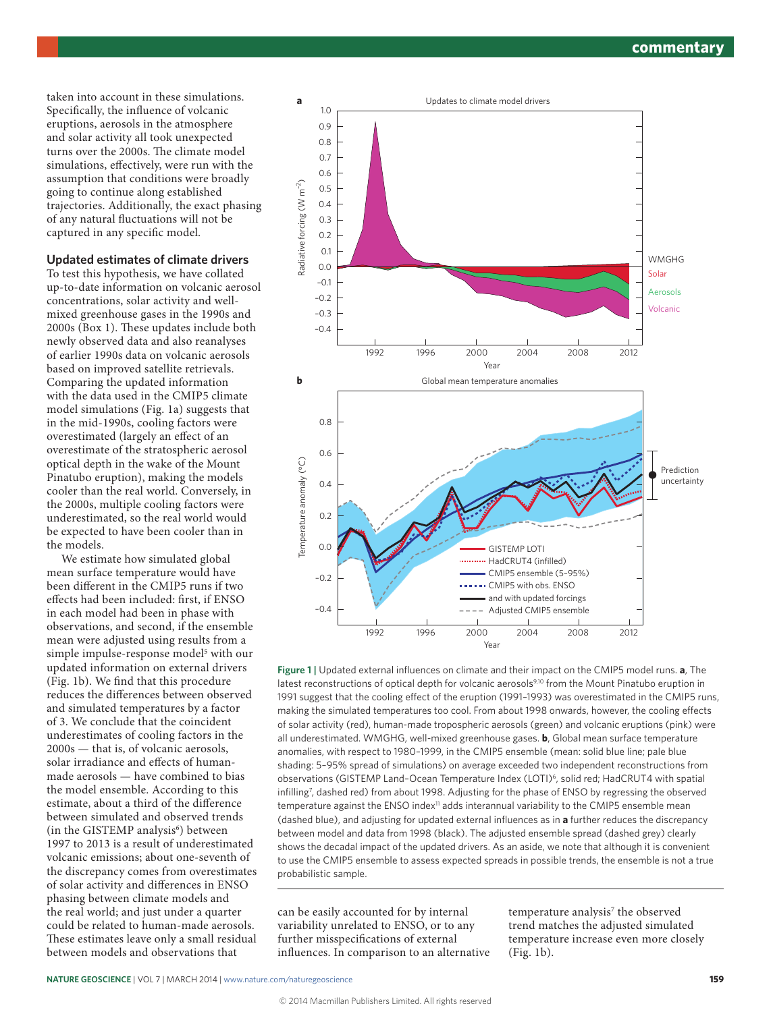taken into account in these simulations. Specifically, the influence of volcanic eruptions, aerosols in the atmosphere and solar activity all took unexpected turns over the 2000s. The climate model simulations, effectively, were run with the assumption that conditions were broadly going to continue along established trajectories. Additionally, the exact phasing of any natural fluctuations will not be captured in any specific model.

#### **Updated estimates of climate drivers**

To test this hypothesis, we have collated up-to-date information on volcanic aerosol concentrations, solar activity and wellmixed greenhouse gases in the 1990s and 2000s (Box 1). These updates include both newly observed data and also reanalyses of earlier 1990s data on volcanic aerosols based on improved satellite retrievals. Comparing the updated information with the data used in the CMIP5 climate model simulations (Fig. 1a) suggests that in the mid-1990s, cooling factors were overestimated (largely an effect of an overestimate of the stratospheric aerosol optical depth in the wake of the Mount Pinatubo eruption), making the models cooler than the real world. Conversely, in the 2000s, multiple cooling factors were underestimated, so the real world would be expected to have been cooler than in the models.

We estimate how simulated global mean surface temperature would have been different in the CMIP5 runs if two effects had been included: first, if ENSO in each model had been in phase with observations, and second, if the ensemble mean were adjusted using results from a simple impulse-response model<sup>5</sup> with our updated information on external drivers (Fig. 1b). We find that this procedure reduces the differences between observed and simulated temperatures by a factor of 3. We conclude that the coincident underestimates of cooling factors in the 2000s — that is, of volcanic aerosols, solar irradiance and effects of humanmade aerosols — have combined to bias the model ensemble. According to this estimate, about a third of the difference between simulated and observed trends (in the GISTEMP analysis<sup>6</sup>) between 1997 to 2013 is a result of underestimated volcanic emissions; about one-seventh of the discrepancy comes from overestimates of solar activity and differences in ENSO phasing between climate models and the real world; and just under a quarter could be related to human-made aerosols. These estimates leave only a small residual between models and observations that



**Figure 1 |** Updated external influences on climate and their impact on the CMIP5 model runs. **a**, The latest reconstructions of optical depth for volcanic aerosols<sup>9,10</sup> from the Mount Pinatubo eruption in 1991 suggest that the cooling effect of the eruption (1991–1993) was overestimated in the CMIP5 runs, making the simulated temperatures too cool. From about 1998 onwards, however, the cooling effects of solar activity (red), human-made tropospheric aerosols (green) and volcanic eruptions (pink) were all underestimated. WMGHG, well-mixed greenhouse gases. **b**, Global mean surface temperature anomalies, with respect to 1980–1999, in the CMIP5 ensemble (mean: solid blue line; pale blue shading: 5–95% spread of simulations) on average exceeded two independent reconstructions from observations (GISTEMP Land–Ocean Temperature Index (LOTI)6, solid red; HadCRUT4 with spatial infilling7 , dashed red) from about 1998. Adjusting for the phase of ENSO by regressing the observed temperature against the ENSO index<sup>11</sup> adds interannual variability to the CMIP5 ensemble mean (dashed blue), and adjusting for updated external influences as in **a** further reduces the discrepancy between model and data from 1998 (black). The adjusted ensemble spread (dashed grey) clearly shows the decadal impact of the updated drivers. As an aside, we note that although it is convenient to use the CMIP5 ensemble to assess expected spreads in possible trends, the ensemble is not a true probabilistic sample.

can be easily accounted for by internal variability unrelated to ENSO, or to any further misspecifications of external influences. In comparison to an alternative

temperature analysis<sup>7</sup> the observed trend matches the adjusted simulated temperature increase even more closely (Fig. 1b).